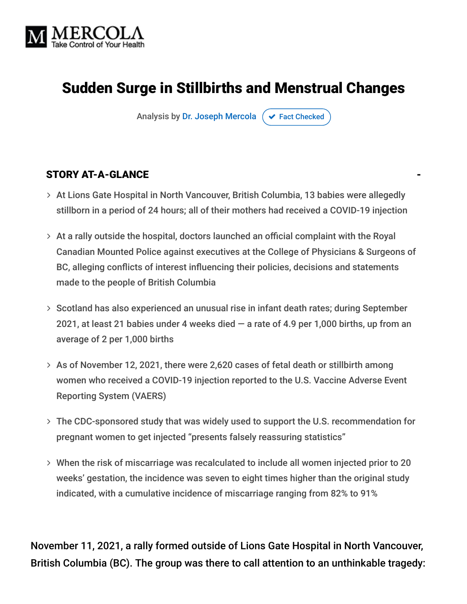

# Sudden Surge in Stillbirths and Menstrual Changes

Analysis by [Dr. Joseph Mercola](https://www.mercola.com/forms/background.htm)  $\sigma$  [Fact Checked](javascript:void(0))

#### STORY AT-A-GLANCE

- At Lions Gate Hospital in North Vancouver, British Columbia, 13 babies were allegedly stillborn in a period of 24 hours; all of their mothers had received a COVID-19 injection
- $>$  At a rally outside the hospital, doctors launched an official complaint with the Royal Canadian Mounted Police against executives at the College of Physicians & Surgeons of BC, alleging conflicts of interest influencing their policies, decisions and statements made to the people of British Columbia
- > Scotland has also experienced an unusual rise in infant death rates; during September 2021, at least 21 babies under 4 weeks died  $-$  a rate of 4.9 per 1,000 births, up from an average of 2 per 1,000 births
- $>$  As of November 12, 2021, there were 2,620 cases of fetal death or stillbirth among women who received a COVID-19 injection reported to the U.S. Vaccine Adverse Event Reporting System (VAERS)
- The CDC-sponsored study that was widely used to support the U.S. recommendation for pregnant women to get injected "presents falsely reassuring statistics"
- When the risk of miscarriage was recalculated to include all women injected prior to 20 weeks' gestation, the incidence was seven to eight times higher than the original study indicated, with a cumulative incidence of miscarriage ranging from 82% to 91%

November 11, 2021, a rally formed outside of Lions Gate Hospital in North Vancouver, British Columbia (BC). The group was there to call attention to an unthinkable tragedy: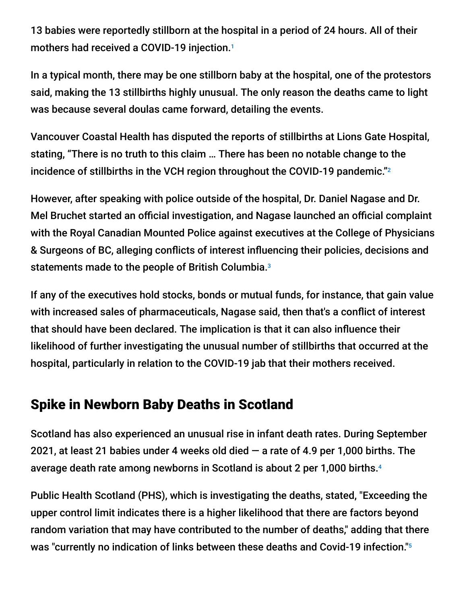13 babies were reportedly stillborn at the hospital in a period of 24 hours. All of their mothers had received a COVID-19 injection. 1

In a typical month, there may be one stillborn baby at the hospital, one of the protestors said, making the 13 stillbirths highly unusual. The only reason the deaths came to light was because several doulas came forward, detailing the events.

Vancouver Coastal Health has disputed the reports of stillbirths at Lions Gate Hospital, stating, "There is no truth to this claim … There has been no notable change to the incidence of stillbirths in the VCH region throughout the COVID-19 pandemic." 2

However, after speaking with police outside of the hospital, Dr. Daniel Nagase and Dr. Mel Bruchet started an official investigation, and Nagase launched an official complaint with the Royal Canadian Mounted Police against executives at the College of Physicians & Surgeons of BC, alleging conflicts of interest influencing their policies, decisions and statements made to the people of British Columbia. 3

If any of the executives hold stocks, bonds or mutual funds, for instance, that gain value with increased sales of pharmaceuticals, Nagase said, then that's a conflict of interest that should have been declared. The implication is that it can also influence their likelihood of further investigating the unusual number of stillbirths that occurred at the hospital, particularly in relation to the COVID-19 jab that their mothers received.

### Spike in Newborn Baby Deaths in Scotland

Scotland has also experienced an unusual rise in infant death rates. During September 2021, at least 21 babies under 4 weeks old died  $-$  a rate of 4.9 per 1,000 births. The average death rate among newborns in Scotland is about 2 per 1,000 births. 4

Public Health Scotland (PHS), which is investigating the deaths, stated, "Exceeding the upper control limit indicates there is a higher likelihood that there are factors beyond random variation that may have contributed to the number of deaths," adding that there was "currently no indication of links between these deaths and Covid-19 infection." 5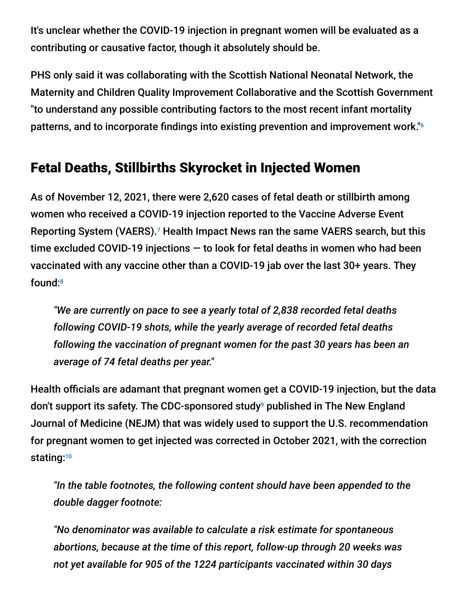It's unclear whether the COVID-19 injection in pregnant women will be evaluated as a contributing or causative factor, though it absolutely should be.

PHS only said it was collaborating with the Scottish National Neonatal Network, the Maternity and Children Quality Improvement Collaborative and the Scottish Government "to understand any possible contributing factors to the most recent infant mortality patterns, and to incorporate findings into existing prevention and improvement work." 6

## Fetal Deaths, Stillbirths Skyrocket in Injected Women

As of November 12, 2021, there were 2,620 cases of fetal death or stillbirth among women who received a COVID-19 injection reported to the Vaccine Adverse Event Reporting System (VAERS).<sup>7</sup> Health Impact News ran the same VAERS search, but this time excluded COVID-19 injections — to look for fetal deaths in women who had been vaccinated with any vaccine other than a COVID-19 jab over the last 30+ years. They found: 8

*"We are currently on pace to see a yearly total of 2,838 recorded fetal deaths following COVID-19 shots, while the yearly average of recorded fetal deaths following the vaccination of pregnant women for the past 30 years has been an average of 74 fetal deaths per year."*

Health officials are adamant that pregnant women get a COVID-19 injection, but the data don't support its safety. The CDC-sponsored study<sup>9</sup> published in The New England Journal of Medicine (NEJM) that was widely used to support the U.S. recommendation for pregnant women to get injected was corrected in October 2021, with the correction stating: 10

*"In the table footnotes, the following content should have been appended to the double dagger footnote:*

*"No denominator was available to calculate a risk estimate for spontaneous abortions, because at the time of this report, follow-up through 20 weeks was not yet available for 905 of the 1224 participants vaccinated within 30 days*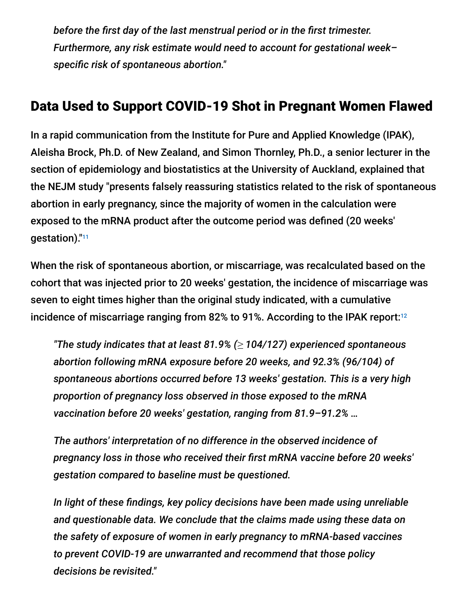*before the first day of the last menstrual period or in the first trimester. Furthermore, any risk estimate would need to account for gestational week– specific risk of spontaneous abortion."*

### Data Used to Support COVID-19 Shot in Pregnant Women Flawed

In a rapid communication from the Institute for Pure and Applied Knowledge (IPAK), Aleisha Brock, Ph.D. of New Zealand, and Simon Thornley, Ph.D., a senior lecturer in the section of epidemiology and biostatistics at the University of Auckland, explained that the NEJM study "presents falsely reassuring statistics related to the risk of spontaneous abortion in early pregnancy, since the majority of women in the calculation were exposed to the mRNA product after the outcome period was defined (20 weeks' gestation)." 11

When the risk of spontaneous abortion, or miscarriage, was recalculated based on the cohort that was injected prior to 20 weeks' gestation, the incidence of miscarriage was seven to eight times higher than the original study indicated, with a cumulative incidence of miscarriage ranging from 82% to 91%. According to the IPAK report:<sup>12</sup>

*"The study indicates that at least 81.9% (≥ 104/127) experienced spontaneous abortion following mRNA exposure before 20 weeks, and 92.3% (96/104) of spontaneous abortions occurred before 13 weeks' gestation. This is a very high proportion of pregnancy loss observed in those exposed to the mRNA vaccination before 20 weeks' gestation, ranging from 81.9–91.2% …*

*The authors' interpretation of no difference in the observed incidence of pregnancy loss in those who received their first mRNA vaccine before 20 weeks' gestation compared to baseline must be questioned.*

*In light of these findings, key policy decisions have been made using unreliable and questionable data. We conclude that the claims made using these data on the safety of exposure of women in early pregnancy to mRNA-based vaccines to prevent COVID-19 are unwarranted and recommend that those policy decisions be revisited."*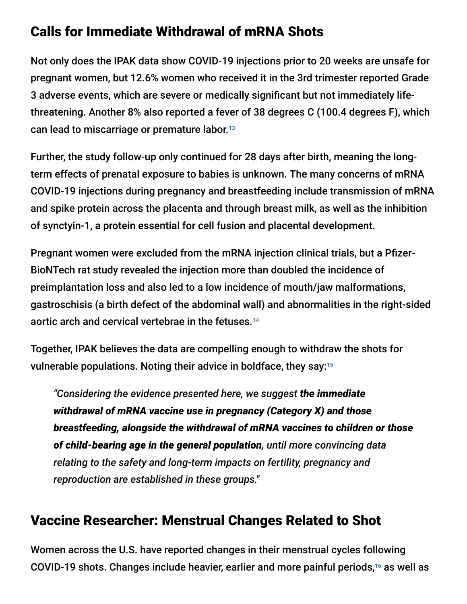## Calls for Immediate Withdrawal of mRNA Shots

Not only does the IPAK data show COVID-19 injections prior to 20 weeks are unsafe for pregnant women, but 12.6% women who received it in the 3rd trimester reported Grade 3 adverse events, which are severe or medically significant but not immediately lifethreatening. Another 8% also reported a fever of 38 degrees C (100.4 degrees F), which can lead to miscarriage or premature labor. 13

Further, the study follow-up only continued for 28 days after birth, meaning the longterm effects of prenatal exposure to babies is unknown. The many concerns of mRNA COVID-19 injections during pregnancy and breastfeeding include transmission of mRNA and spike protein across the placenta and through breast milk, as well as the inhibition of synctyin-1, a protein essential for cell fusion and placental development.

Pregnant women were excluded from the mRNA injection clinical trials, but a Pfizer-BioNTech rat study revealed the injection more than doubled the incidence of preimplantation loss and also led to a low incidence of mouth/jaw malformations, gastroschisis (a birth defect of the abdominal wall) and abnormalities in the right-sided aortic arch and cervical vertebrae in the fetuses. 14

Together, IPAK believes the data are compelling enough to withdraw the shots for vulnerable populations. Noting their advice in boldface, they say: 15

*"Considering the evidence presented here, we suggest the immediate withdrawal of mRNA vaccine use in pregnancy (Category X) and those breastfeeding, alongside the withdrawal of mRNA vaccines to children or those of child-bearing age in the general population, until more convincing data relating to the safety and long-term impacts on fertility, pregnancy and reproduction are established in these groups."*

### Vaccine Researcher: Menstrual Changes Related to Shot

Women across the U.S. have reported changes in their menstrual cycles following COVID-19 shots. Changes include heavier, earlier and more painful periods, $16$  as well as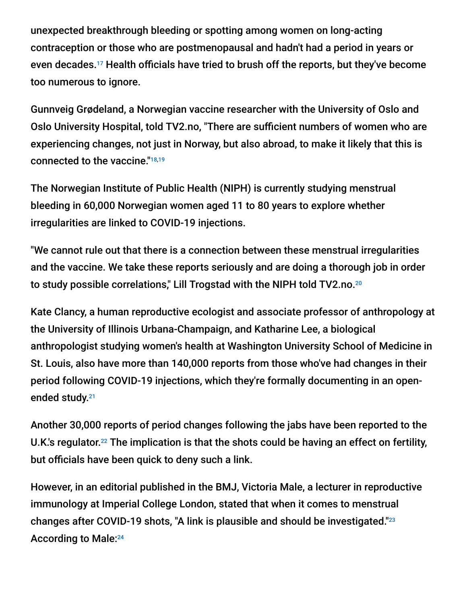unexpected breakthrough bleeding or spotting among women on long-acting contraception or those who are postmenopausal and hadn't had a period in years or even decades.<sup>17</sup> Health officials have tried to brush off the reports, but they've become too numerous to ignore.

Gunnveig Grødeland, a Norwegian vaccine researcher with the University of Oslo and Oslo University Hospital, told TV2.no, "There are sufficient numbers of women who are experiencing changes, not just in Norway, but also abroad, to make it likely that this is connected to the vaccine." 18,19

The Norwegian Institute of Public Health (NIPH) is currently studying menstrual bleeding in 60,000 Norwegian women aged 11 to 80 years to explore whether irregularities are linked to COVID-19 injections.

"We cannot rule out that there is a connection between these menstrual irregularities and the vaccine. We take these reports seriously and are doing a thorough job in order to study possible correlations," Lill Trogstad with the NIPH told TV2.no. 20

Kate Clancy, a human reproductive ecologist and associate professor of anthropology at the University of Illinois Urbana-Champaign, and Katharine Lee, a biological anthropologist studying women's health at Washington University School of Medicine in St. Louis, also have more than 140,000 reports from those who've had changes in their period following COVID-19 injections, which they're formally documenting in an openended study.<sup>21</sup>

Another 30,000 reports of period changes following the jabs have been reported to the U.K.'s regulator.<sup>22</sup> The implication is that the shots could be having an effect on fertility, but officials have been quick to deny such a link.

However, in an editorial published in the BMJ, Victoria Male, a lecturer in reproductive immunology at Imperial College London, stated that when it comes to menstrual changes after COVID-19 shots, "A link is plausible and should be investigated." 23 According to Male: 24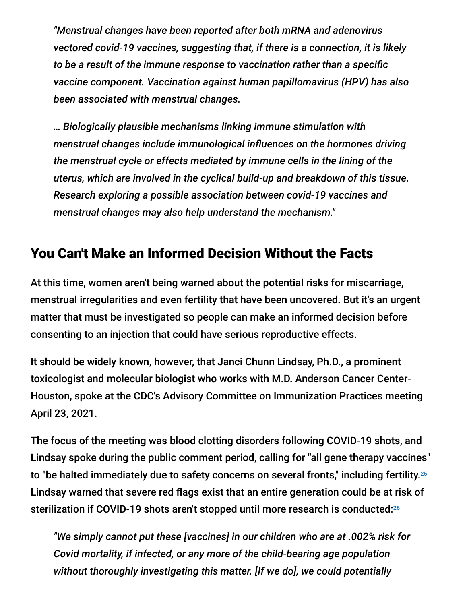*"Menstrual changes have been reported after both mRNA and adenovirus vectored covid-19 vaccines, suggesting that, if there is a connection, it is likely to be a result of the immune response to vaccination rather than a specific vaccine component. Vaccination against human papillomavirus (HPV) has also been associated with menstrual changes.*

*… Biologically plausible mechanisms linking immune stimulation with menstrual changes include immunological influences on the hormones driving the menstrual cycle or effects mediated by immune cells in the lining of the uterus, which are involved in the cyclical build-up and breakdown of this tissue. Research exploring a possible association between covid-19 vaccines and menstrual changes may also help understand the mechanism."*

#### You Can't Make an Informed Decision Without the Facts

At this time, women aren't being warned about the potential risks for miscarriage, menstrual irregularities and even fertility that have been uncovered. But it's an urgent matter that must be investigated so people can make an informed decision before consenting to an injection that could have serious reproductive effects.

It should be widely known, however, that Janci Chunn Lindsay, Ph.D., a prominent toxicologist and molecular biologist who works with M.D. Anderson Cancer Center-Houston, spoke at the CDC's Advisory Committee on Immunization Practices meeting April 23, 2021.

The focus of the meeting was blood clotting disorders following COVID-19 shots, and Lindsay spoke during the public comment period, calling for "all gene therapy vaccines" to "be halted immediately due to safety concerns on several fronts," including fertility. $^{25}$ Lindsay warned that severe red flags exist that an entire generation could be at risk of sterilization if COVID-19 shots aren't stopped until more research is conducted: 26

*"We simply cannot put these [vaccines] in our children who are at .002% risk for Covid mortality, if infected, or any more of the child-bearing age population without thoroughly investigating this matter. [If we do], we could potentially*